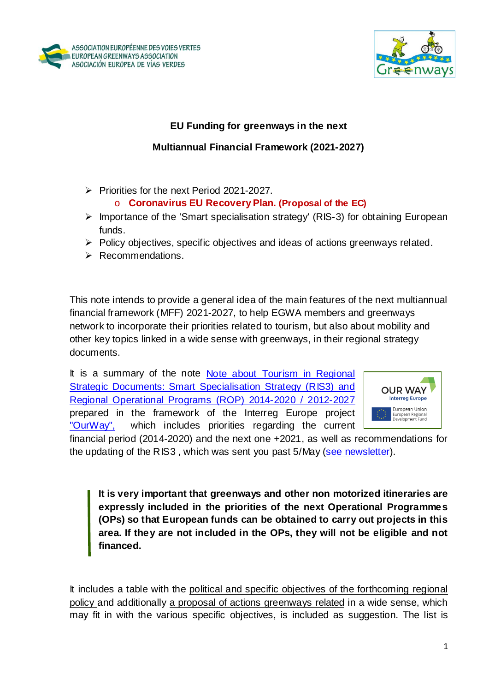



## **EU Funding for greenways in the next**

## **Multiannual Financial Framework (2021-2027)**

 $\triangleright$  Priorities for the next Period 2021-2027.

### o **Coronavirus EU Recovery Plan. (Proposal of the EC)**

- $\triangleright$  Importance of the 'Smart specialisation strategy' (RIS-3) for obtaining European funds.
- $\triangleright$  Policy objectives, specific objectives and ideas of actions greenways related.
- $\triangleright$  Recommendations.

This note intends to provide a general idea of the main features of the next multiannual financial framework (MFF) 2021-2027, to help EGWA members and greenways network to incorporate their priorities related to tourism, but also about mobility and other key topics linked in a wide sense with greenways, in their regional strategy documents.

It is a summary of the note Note about Tourism in Regional [Strategic Documents: Smart Specialisation Strategy \(RIS3\) and](https://www.aevv-egwa.org/download/ourway/Tourism-in-Regional-Strategic-docs-RIS3-PO-210420-draft-Annex.pdf)  [Regional Operational Programs \(ROP\) 2014-2020 / 2012-2027](https://www.aevv-egwa.org/download/ourway/Tourism-in-Regional-Strategic-docs-RIS3-PO-210420-draft-Annex.pdf) prepared in the framework of the Interreg Europe project ["OurWay",](https://www.interregeurope.eu/ourway/) which includes priorities regarding the current



financial period (2014-2020) and the next one +2021, as well as recommendations for the updating of the RIS3, which was sent you past 5/May [\(see newsletter\)](https://mailchi.mp/9834ac3d276f/eu-funding-for-tourism-and-greenways?e=%5bUNIQID%5d).

**It is very important that greenways and other non motorized itineraries are expressly included in the priorities of the next Operational Programmes (OPs) so that European funds can be obtained to carry out projects in this area. If they are not included in the OPs, they will not be eligible and not financed.**

It includes a table with the political and specific objectives of the forthcoming regional policy and additionally a proposal of actions greenways related in a wide sense, which may fit in with the various specific objectives, is included as suggestion. The list is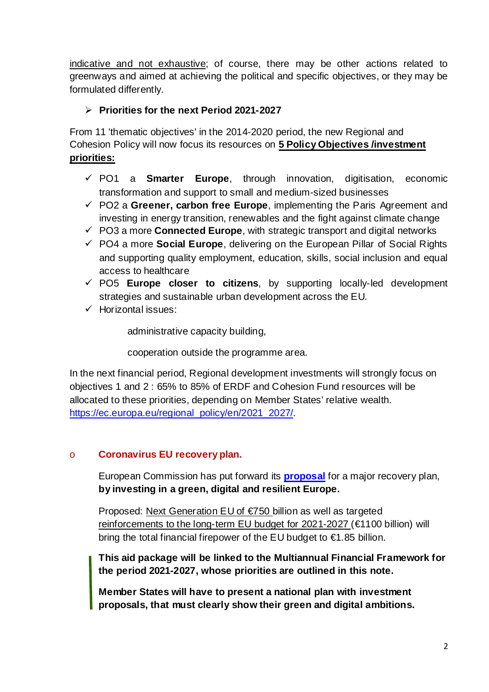indicative and not exhaustive; of course, there may be other actions related to greenways and aimed at achieving the political and specific objectives, or they may be formulated differently.

# **Priorities for the next Period 2021-2027**

From 11 'thematic objectives' in the 2014-2020 period, the new Regional and Cohesion Policy will now focus its resources on **5 Policy Objectives /investment priorities:**

- PO1 a **Smarter Europe**, through innovation, digitisation, economic transformation and support to small and medium-sized businesses
- $\checkmark$  PO2 a Greener, carbon free Europe, implementing the Paris Agreement and investing in energy transition, renewables and the fight against climate change
- PO3 a more **Connected Europe**, with strategic transport and digital networks
- PO4 a more **Social Europe**, delivering on the European Pillar of Social Rights and supporting quality employment, education, skills, social inclusion and equal access to healthcare
- PO5 **Europe closer to citizens**, by supporting locally-led development strategies and sustainable urban development across the EU.
- $\checkmark$  Horizontal issues:

administrative capacity building,

cooperation outside the programme area.

In the next financial period, Regional development investments will strongly focus on objectives 1 and 2 : 65% to 85% of ERDF and Cohesion Fund resources will be allocated to these priorities, depending on Member States' relative wealth. [https://ec.europa.eu/regional\\_policy/en/2021\\_2027/.](https://ec.europa.eu/regional_policy/en/2021_2027/)

### o **Coronavirus EU recovery plan.**

European Commission has put forward its **[proposal](https://ec.europa.eu/commission/presscorner/detail/en/ip_20_940)** for a major recovery plan, **by investing in a green, digital and resilient Europe.**

Proposed: Next Generation EU of €750 billion as well as targeted reinforcements to the long-term EU budget for 2021-2027 (€1100 billion) will bring the total financial firepower of the EU budget to €1.85 billion.

**This aid package will be linked to the Multiannual Financial Framework for the period 2021-2027, whose priorities are outlined in this note.**

**Member States will have to present a national plan with investment proposals, that must clearly show their green and digital ambitions.**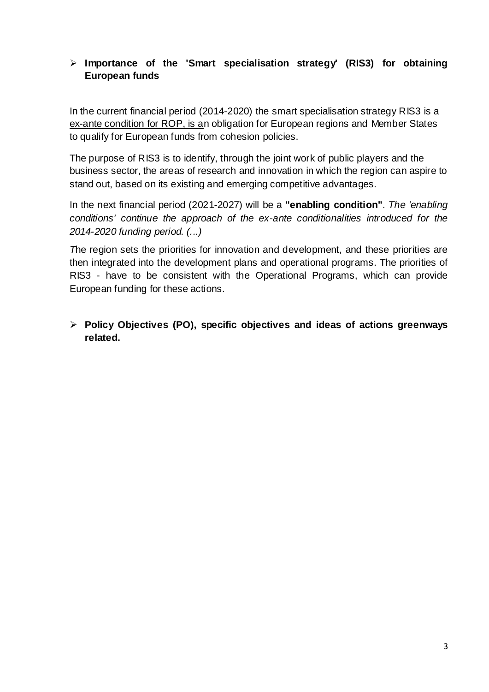## **Importance of the 'Smart specialisation strategy' (RIS3) for obtaining European funds**

In the current financial period (2014-2020) the smart specialisation strategy RIS3 is a ex-ante condition for ROP, is an obligation for European regions and Member States to qualify for European funds from cohesion policies.

The purpose of RIS3 is to identify, through the joint work of public players and the business sector, the areas of research and innovation in which the region can aspire to stand out, based on its existing and emerging competitive advantages.

In the next financial period (2021-2027) will be a **"enabling condition"**. *The 'enabling conditions' continue the approach of the ex-ante conditionalities introduced for the 2014-2020 funding period. (...)*

*T*he region sets the priorities for innovation and development, and these priorities are then integrated into the development plans and operational programs. The priorities of RIS3 - have to be consistent with the Operational Programs, which can provide European funding for these actions.

# **Policy Objectives (PO), specific objectives and ideas of actions greenways related.**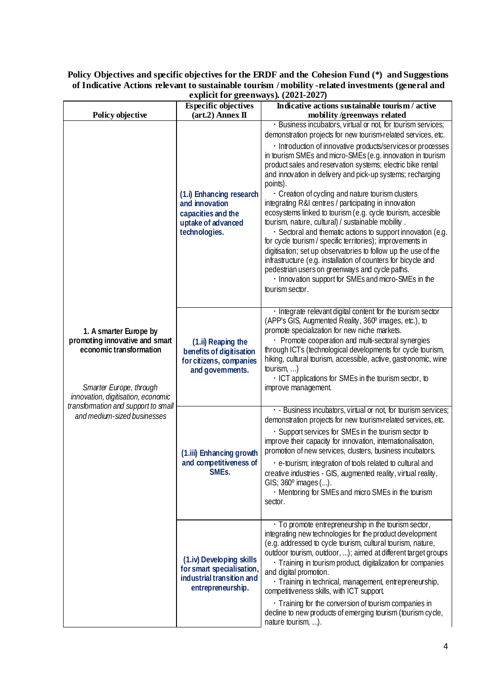#### **Policy Objectives and specific objectives for the ERDF and the Cohesion Fund (\*) and Suggestions of Indicative Actions relevant to sustainable tourism / mobility -related investments (general and explicit for greenways). (2021-2027)**

| explicit for green ways). $(2021 - 2027)$                                                                                                                                                                                  |                                                                                                         |                                                                                                                                                                                                                                                                                                                                                                                                                                                                                                                                                                                                                                                                                                                                                                                                                                                                                                                                                                                                                                  |  |
|----------------------------------------------------------------------------------------------------------------------------------------------------------------------------------------------------------------------------|---------------------------------------------------------------------------------------------------------|----------------------------------------------------------------------------------------------------------------------------------------------------------------------------------------------------------------------------------------------------------------------------------------------------------------------------------------------------------------------------------------------------------------------------------------------------------------------------------------------------------------------------------------------------------------------------------------------------------------------------------------------------------------------------------------------------------------------------------------------------------------------------------------------------------------------------------------------------------------------------------------------------------------------------------------------------------------------------------------------------------------------------------|--|
| Policy objective                                                                                                                                                                                                           | <b>Especific objectives</b><br>$(\text{art.2})$ Annex $\Pi$                                             | Indicative actions sustainable tourism / active<br>mobility /greenways related                                                                                                                                                                                                                                                                                                                                                                                                                                                                                                                                                                                                                                                                                                                                                                                                                                                                                                                                                   |  |
| 1. A smarter Europe by<br>promoting innovative and smart<br>economic transformation<br>Smarter Europe, through<br>innovation, digitisation, economic<br>transformation and support to small<br>and medium-sized businesses | (1.i) Enhancing research<br>and innovation<br>capacities and the<br>uptake of advanced<br>technologies. | · Business incubators, virtual or not, for tourism services;<br>demonstration projects for new tourism-related services, etc.<br>· Introduction of innovative products/services or processes<br>in tourism SMEs and micro-SMEs (e.g. innovation in tourism<br>product sales and reservation systems; electric bike rental<br>and innovation in delivery and pick-up systems; recharging<br>points).<br>Creation of cycling and nature tourism clusters<br>integrating R&I centres / participating in innovation<br>ecosystems linked to tourism (e.g. cycle tourism, accesible<br>tourism, nature, cultural) / sustainable mobility.<br>· Sectoral and thematic actions to support innovation (e.g.<br>for cycle tourism / specific territories); improvements in<br>digitisation; set up observatories to follow up the use of the<br>infrastructure (e.g. installation of counters for bicycle and<br>pedestrian users on greenways and cycle paths.<br>. Innovation support for SMEs and micro-SMEs in the<br>tourism sector. |  |
|                                                                                                                                                                                                                            | (1.ii) Reaping the<br>benefits of digitisation<br>for citizens, companies<br>and governments.           | · Integrate relevant digital content for the tourism sector<br>(APP's GIS, Augmented Reality, 360° images, etc.), to<br>promote specialization for new niche markets.<br>• Promote cooperation and multi-sectoral synergies<br>through ICTs (technological developments for cycle tourism,<br>hiking, cultural tourism, accessible, active, gastronomic, wine<br>tourism, $\dots$ )<br>· ICT applications for SMEs in the tourism sector, to<br>improve management.                                                                                                                                                                                                                                                                                                                                                                                                                                                                                                                                                              |  |
|                                                                                                                                                                                                                            | (1.iii) Enhancing growth<br>and competitiveness of<br>SMEs.                                             | · - Business incubators, virtual or not, for tourism services;<br>demonstration projects for new tourism-related services, etc.<br>· Support services for SMEs in the tourism sector to<br>improve their capacity for innovation, internationalisation,<br>promotion of new services, clusters, business incubators.<br>• e-tourism; integration of tools related to cultural and<br>creative industries - GIS, augmented reality, virtual reality,<br>GIS; 360° images ().<br>. Mentoring for SMEs and micro SMEs in the tourism<br>sector.                                                                                                                                                                                                                                                                                                                                                                                                                                                                                     |  |
|                                                                                                                                                                                                                            | (1.iv) Developing skills<br>for smart specialisation,<br>industrial transition and<br>entrepreneurship. | · To promote entrepreneurship in the tourism sector,<br>integrating new technologies for the product development<br>(e.g. addressed to cycle tourism, cultural tourism, nature,<br>outdoor tourism, outdoor, ); aimed at different target groups<br>· Training in tourism product, digitalization for companies<br>and digital promotion.<br>· Training in technical, management, entrepreneurship,<br>competitiveness skills, with ICT support.<br>• Training for the conversion of tourism companies in<br>decline to new products of emerging tourism (tourism cycle,<br>nature tourism, ).                                                                                                                                                                                                                                                                                                                                                                                                                                   |  |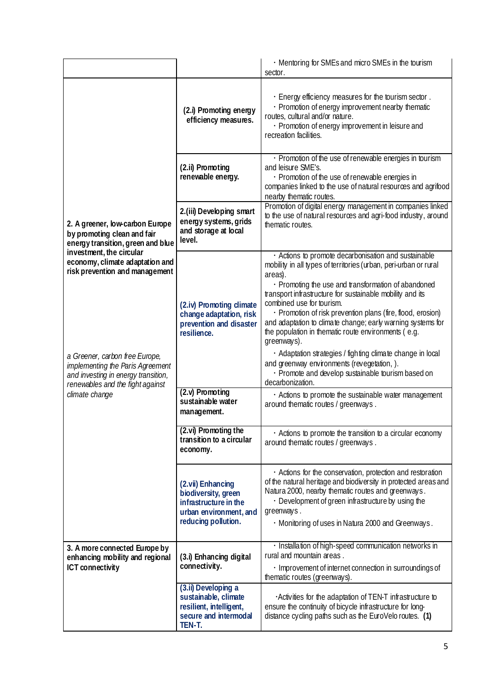|                                                                                                                                                                                                                                                                                                                                                                         |                                                                                                                    | • Mentoring for SMEs and micro SMEs in the tourism<br>sector.                                                                                                                                                                                                                                                                                                                                                                                                                                                                                                                                                                                                                   |
|-------------------------------------------------------------------------------------------------------------------------------------------------------------------------------------------------------------------------------------------------------------------------------------------------------------------------------------------------------------------------|--------------------------------------------------------------------------------------------------------------------|---------------------------------------------------------------------------------------------------------------------------------------------------------------------------------------------------------------------------------------------------------------------------------------------------------------------------------------------------------------------------------------------------------------------------------------------------------------------------------------------------------------------------------------------------------------------------------------------------------------------------------------------------------------------------------|
| 2. A greener, low-carbon Europe<br>by promoting clean and fair<br>energy transition, green and blue<br>investment, the circular<br>economy, climate adaptation and<br>risk prevention and management<br>a Greener, carbon free Europe,<br>implementing the Paris Agreement<br>and investing in energy transition,<br>renewables and the fight against<br>climate change | (2.i) Promoting energy<br>efficiency measures.                                                                     | . Energy efficiency measures for the tourism sector.<br>· Promotion of energy improvement nearby thematic<br>routes, cultural and/or nature.<br>· Promotion of energy improvement in leisure and<br>recreation facilities.                                                                                                                                                                                                                                                                                                                                                                                                                                                      |
|                                                                                                                                                                                                                                                                                                                                                                         | (2.ii) Promoting<br>renewable energy.                                                                              | · Promotion of the use of renewable energies in tourism<br>and leisure SME's.<br>· Promotion of the use of renewable energies in<br>companies linked to the use of natural resources and agrifood<br>nearby thematic routes.                                                                                                                                                                                                                                                                                                                                                                                                                                                    |
|                                                                                                                                                                                                                                                                                                                                                                         | 2.(iii) Developing smart<br>energy systems, grids<br>and storage at local<br>level.                                | Promotion of digital energy management in companies linked<br>to the use of natural resources and agri-food industry, around<br>thematic routes.                                                                                                                                                                                                                                                                                                                                                                                                                                                                                                                                |
|                                                                                                                                                                                                                                                                                                                                                                         | (2.iv) Promoting climate<br>change adaptation, risk<br>prevention and disaster<br>resilience.                      | · Actions to promote decarbonisation and sustainable<br>mobility in all types of territories (urban, peri-urban or rural<br>areas).<br>• Promoting the use and transformation of abandoned<br>transport infrastructure for sustainable mobility and its<br>combined use for tourism.<br>· Promotion of risk prevention plans (fire, flood, erosion)<br>and adaptation to climate change; early warning systems for<br>the population in thematic route environments (e.g.<br>greenways).<br>· Adaptation strategies / fighting climate change in local<br>and greenway environments (revegetation, ).<br>· Promote and develop sustainable tourism based on<br>decarbonization. |
|                                                                                                                                                                                                                                                                                                                                                                         | (2.v) Promoting<br>sustainable water<br>management.                                                                | . Actions to promote the sustainable water management<br>around thematic routes / greenways.                                                                                                                                                                                                                                                                                                                                                                                                                                                                                                                                                                                    |
|                                                                                                                                                                                                                                                                                                                                                                         | (2.vi) Promoting the<br>transition to a circular<br>economy.                                                       | . Actions to promote the transition to a circular economy<br>around thematic routes / greenways.                                                                                                                                                                                                                                                                                                                                                                                                                                                                                                                                                                                |
|                                                                                                                                                                                                                                                                                                                                                                         | (2.vii) Enhancing<br>biodiversity, green<br>infrastructure in the<br>urban environment, and<br>reducing pollution. | . Actions for the conservation, protection and restoration<br>of the natural heritage and biodiversity in protected areas and<br>Natura 2000, nearby thematic routes and greenways.<br>• Development of green infrastructure by using the<br>greenways.<br>• Monitoring of uses in Natura 2000 and Greenways.                                                                                                                                                                                                                                                                                                                                                                   |
| 3. A more connected Europe by<br>enhancing mobility and regional<br>ICT connectivity                                                                                                                                                                                                                                                                                    | (3.i) Enhancing digital<br>connectivity.                                                                           | · Installation of high-speed communication networks in<br>rural and mountain areas.<br>· Improvement of internet connection in surroundings of<br>thematic routes (greenways).                                                                                                                                                                                                                                                                                                                                                                                                                                                                                                  |
|                                                                                                                                                                                                                                                                                                                                                                         | (3.ii) Developing a<br>sustainable, climate<br>resilient, intelligent,<br>secure and intermodal<br>TEN-T.          | . Activities for the adaptation of TEN-T infrastructure to<br>ensure the continuity of bicycle infrastructure for long-<br>distance cycling paths such as the EuroVelo routes. (1)                                                                                                                                                                                                                                                                                                                                                                                                                                                                                              |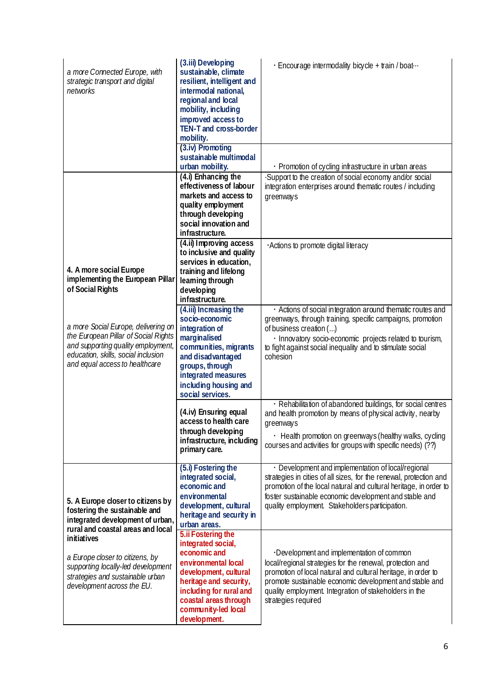| a more Connected Europe, with<br>strategic transport and digital<br>networks                                                                                                                                                                                                                          | (3.iii) Developing<br>sustainable, climate<br>resilient, intelligent and<br>intermodal national,<br>regional and local<br>mobility, including<br>improved access to<br>TEN-T and cross-border<br>mobility.                    | · Encourage intermodality bicycle + train / boat                                                                                                                                                                                                                                                                   |
|-------------------------------------------------------------------------------------------------------------------------------------------------------------------------------------------------------------------------------------------------------------------------------------------------------|-------------------------------------------------------------------------------------------------------------------------------------------------------------------------------------------------------------------------------|--------------------------------------------------------------------------------------------------------------------------------------------------------------------------------------------------------------------------------------------------------------------------------------------------------------------|
|                                                                                                                                                                                                                                                                                                       | (3.iv) Promoting<br>sustainable multimodal<br>urban mobility.                                                                                                                                                                 | · Promotion of cycling infrastructure in urban areas                                                                                                                                                                                                                                                               |
|                                                                                                                                                                                                                                                                                                       | (4.i) Enhancing the<br>effectiveness of labour<br>markets and access to<br>quality employment<br>through developing<br>social innovation and<br>infrastructure.                                                               | Support to the creation of social economy and/or social<br>integration enterprises around thematic routes / including<br>greenways                                                                                                                                                                                 |
| 4. A more social Europe<br>implementing the European Pillar<br>of Social Rights                                                                                                                                                                                                                       | (4.ii) Improving access<br>to inclusive and quality<br>services in education,<br>training and lifelong<br>leaming through<br>developing<br>infrastructure.                                                                    | Actions to promote digital literacy                                                                                                                                                                                                                                                                                |
| a more Social Europe, delivering on<br>the European Pillar of Social Rights<br>and supporting quality employment,<br>education, skills, social inclusion<br>and equal access to healthcare                                                                                                            | (4.iii) Increasing the<br>socio-economic<br>integration of<br>marginalised<br>communities, migrants<br>and disadvantaged<br>groups, through<br>integrated measures<br>including housing and<br>social services.               | · Actions of social integration around thematic routes and<br>greenways, through training, specific campaigns, promotion<br>of business creation ()<br>· Innovatory socio-economic projects related to tourism,<br>to fight against social inequality and to stimulate social<br>cohesion                          |
|                                                                                                                                                                                                                                                                                                       | (4.iv) Ensuring equal<br>access to health care<br>through developing<br>infrastructure, including<br>primary care.                                                                                                            | · Rehabilitation of abandoned buildings, for social centres<br>and health promotion by means of physical activity, nearby<br>greenways<br>• Health promotion on greenways (healthy walks, cycling<br>courses and activities for groups with specific needs) (??)                                                   |
| 5. A Europe closer to citizens by<br>fostering the sustainable and<br>integrated development of urban,<br>rural and coastal areas and local<br>initiatives<br>a Europe closer to citizens, by<br>supporting locally-led development<br>strategies and sustainable urban<br>development across the EU. | (5.i) Fostering the<br>integrated social,<br>economic and<br>environmental<br>development, cultural<br>heritage and security in<br>urban areas.                                                                               | • Development and implementation of local/regional<br>strategies in cities of all sizes, for the renewal, protection and<br>promotion of the local natural and cultural heritage, in order to<br>foster sustainable economic development and stable and<br>quality employment. Stakeholders participation.         |
|                                                                                                                                                                                                                                                                                                       | 5.ii Fostering the<br>integrated social,<br>economic and<br>environmental local<br>development, cultural<br>heritage and security,<br>including for rural and<br>coastal areas through<br>community-led local<br>development. | Development and implementation of common<br>local/regional strategies for the renewal, protection and<br>promotion of local natural and cultural heritage, in order to<br>promote sustainable economic development and stable and<br>quality employment. Integration of stakeholders in the<br>strategies required |